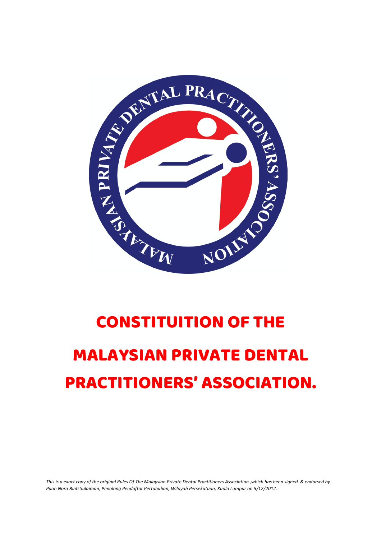

# CONSTITUITION OF THE

# MALAYSIAN PRIVATE DENTAL PRACTITIONERS' ASSOCIATION.

*This is a exact copy of the original Rules Of The Malaysian Private Dental Practitioners Association ,which has been signed & endorsed by Puan Nora Binti Sulaiman, Penolong Pendaftar Pertubuhan, Wilayah Persekutuan, Kuala Lumpur on 5/12/2012.*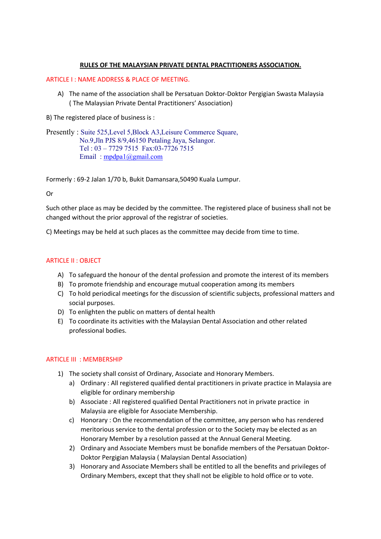# **RULES OF THE MALAYSIAN PRIVATE DENTAL PRACTITIONERS ASSOCIATION.**

# ARTICLE I : NAME ADDRESS & PLACE OF MEETING.

A) The name of the association shall be Persatuan Doktor-Doktor Pergigian Swasta Malaysia ( The Malaysian Private Dental Practitioners' Association)

B) The registered place of business is :

Presently : Suite 525,Level 5,Block A3,Leisure Commerce Square, No.9,Jln PJS 8/9,46150 Petaling Jaya, Selangor. Tel : 03 – 7729 7515 Fax:03-7726 7515 Email : mpdpa1@gmail.com

Formerly : 69-2 Jalan 1/70 b, Bukit Damansara,50490 Kuala Lumpur.

Or

Such other place as may be decided by the committee. The registered place of business shall not be changed without the prior approval of the registrar of societies.

C) Meetings may be held at such places as the committee may decide from time to time.

# ARTICLE II : OBJECT

- A) To safeguard the honour of the dental profession and promote the interest of its members
- B) To promote friendship and encourage mutual cooperation among its members
- C) To hold periodical meetings for the discussion of scientific subjects, professional matters and social purposes.
- D) To enlighten the public on matters of dental health
- E) To coordinate its activities with the Malaysian Dental Association and other related professional bodies.

# ARTICLE III : MEMBERSHIP

- 1) The society shall consist of Ordinary, Associate and Honorary Members.
	- a) Ordinary : All registered qualified dental practitioners in private practice in Malaysia are eligible for ordinary membership
	- b) Associate : All registered qualified Dental Practitioners not in private practice in Malaysia are eligible for Associate Membership.
	- c) Honorary : On the recommendation of the committee, any person who has rendered meritorious service to the dental profession or to the Society may be elected as an Honorary Member by a resolution passed at the Annual General Meeting.
	- 2) Ordinary and Associate Members must be bonafide members of the Persatuan Doktor-Doktor Pergigian Malaysia ( Malaysian Dental Association)
	- 3) Honorary and Associate Members shall be entitled to all the benefits and privileges of Ordinary Members, except that they shall not be eligible to hold office or to vote.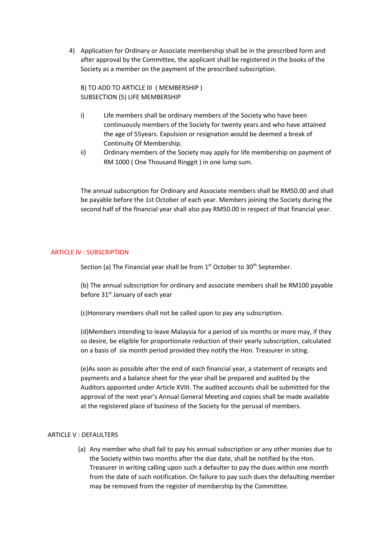4) Application for Ordinary or Associate membership shall be in the prescribed form and after approval by the Committee, the applicant shall be registered in the books of the Society as a member on the payment of the prescribed subscription.

B) TO ADD TO ARTICLE III ( MEMBERSHIP ) SUBSECTION (5) LIFE MEMBERSHIP

- i) Life members shall be ordinary members of the Society who have been continuously members of the Society for twenty years and who have attained the age of 55years. Expulsion or resignation would be deemed a break of Continuity Of Membership.
- ii) Ordinary members of the Society may apply for life membership on payment of RM 1000 ( One Thousand Ringgit ) in one lump sum.

The annual subscription for Ordinary and Associate members shall be RM50.00 and shall be payable before the 1st October of each year. Members joining the Society during the second half of the financial year shall also pay RM50.00 in respect of that financial year.

# ARTICLE IV : SUBSCRIPTION

Section (a) The Financial year shall be from  $1<sup>st</sup>$  October to  $30<sup>th</sup>$  September.

(b) The annual subscription for ordinary and associate members shall be RM100 payable before 31<sup>st</sup> January of each year

(c)Honorary members shall not be called upon to pay any subscription.

(d)Members intending to leave Malaysia for a period of six months or more may, if they so desire, be eligible for proportionate reduction of their yearly subscription, calculated on a basis of six month period provided they notify the Hon. Treasurer in siting.

(e)As soon as possible after the end of each financial year, a statement of receipts and payments and a balance sheet for the year shall be prepared and audited by the Auditors appointed under Article XVIII. The audited accounts shall be submitted for the approval of the next year's Annual General Meeting and copies shall be made available at the registered place of business of the Society for the perusal of members.

# ARTICLE V : DEFAULTERS

(a) Any member who shall fail to pay his annual subscription or any other monies due to the Society within two months after the due date, shall be notified by the Hon. Treasurer in writing calling upon such a defaulter to pay the dues within one month from the date of such notification. On failure to pay such dues the defaulting member may be removed from the register of membership by the Committee.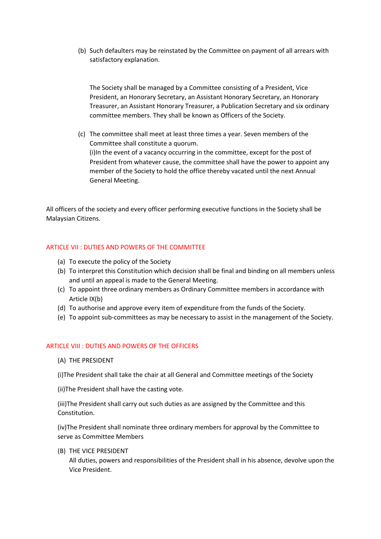(b) Such defaulters may be reinstated by the Committee on payment of all arrears with satisfactory explanation.

The Society shall be managed by a Committee consisting of a President, Vice President, an Honorary Secretary, an Assistant Honorary Secretary, an Honorary Treasurer, an Assistant Honorary Treasurer, a Publication Secretary and six ordinary committee members. They shall be known as Officers of the Society.

(c) The committee shall meet at least three times a year. Seven members of the Committee shall constitute a quorum. (i)In the event of a vacancy occurring in the committee, except for the post of President from whatever cause, the committee shall have the power to appoint any member of the Society to hold the office thereby vacated until the next Annual General Meeting.

All officers of the society and every officer performing executive functions in the Society shall be Malaysian Citizens.

# ARTICLE VII : DUTIES AND POWERS OF THE COMMITTEE

- (a) To execute the policy of the Society
- (b) To interpret this Constitution which decision shall be final and binding on all members unless and until an appeal is made to the General Meeting.
- (c) To appoint three ordinary members as Ordinary Committee members in accordance with Article IX(b)
- (d) To authorise and approve every item of expenditure from the funds of the Society.
- (e) To appoint sub-committees as may be necessary to assist in the management of the Society.

# ARTICLE VIII : DUTIES AND POWERS OF THE OFFICERS

(A) THE PRESIDENT

(i)The President shall take the chair at all General and Committee meetings of the Society

(ii)The President shall have the casting vote.

(iii)The President shall carry out such duties as are assigned by the Committee and this Constitution.

(iv)The President shall nominate three ordinary members for approval by the Committee to serve as Committee Members

(B) THE VICE PRESIDENT

All duties, powers and responsibilities of the President shall in his absence, devolve upon the Vice President.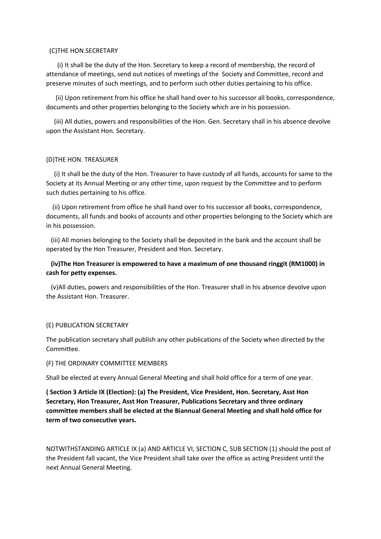# (C)THE HON.SECRETARY

 (i) It shall be the duty of the Hon. Secretary to keep a record of membership, the record of attendance of meetings, send out notices of meetings of the Society and Committee, record and preserve minutes of such meetings, and to perform such other duties pertaining to his office.

 (ii) Upon retirement from his office he shall hand over to his successor all books, correspondence, documents and other properties belonging to the Society which are in his possession.

 (iii) All duties, powers and responsibilities of the Hon. Gen. Secretary shall in his absence devolve upon the Assistant Hon. Secretary.

# (D)THE HON. TREASURER

 (i) It shall be the duty of the Hon. Treasurer to have custody of all funds, accounts for same to the Society at its Annual Meeting or any other time, upon request by the Committee and to perform such duties pertaining to his office.

 (ii) Upon retirement from office he shall hand over to his successor all books, correspondence, documents, all funds and books of accounts and other properties belonging to the Society which are in his possession.

 (iii) All monies belonging to the Society shall be deposited in the bank and the account shall be operated by the Hon Treasurer, President and Hon. Secretary.

# **(iv)The Hon Treasurer is empowered to have a maximum of one thousand ringgit (RM1000) in cash for petty expenses.**

 (v)All duties, powers and responsibilities of the Hon. Treasurer shall in his absence devolve upon the Assistant Hon. Treasurer.

# (E) PUBLICATION SECRETARY

The publication secretary shall publish any other publications of the Society when directed by the Committee.

# (F) THE ORDINARY COMMITTEE MEMBERS

Shall be elected at every Annual General Meeting and shall hold office for a term of one year.

**( Section 3 Article IX (Election): (a) The President, Vice President, Hon. Secretary, Asst Hon Secretary, Hon Treasurer, Asst Hon Treasurer, Publications Secretary and three ordinary committee members shall be elected at the Biannual General Meeting and shall hold office for term of two consecutive years.** 

NOTWITHSTANDING ARTICLE IX (a) AND ARTICLE VI, SECTION C, SUB SECTION (1) should the post of the President fall vacant, the Vice President shall take over the office as acting President until the next Annual General Meeting.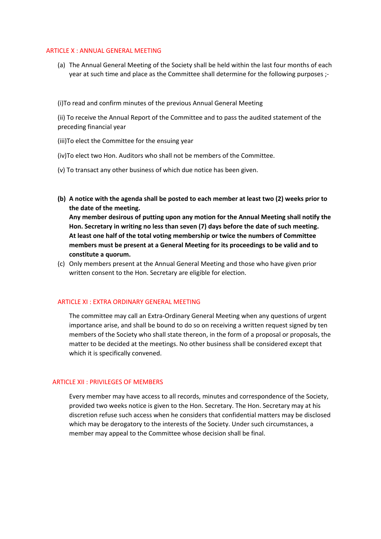#### ARTICLE X : ANNUAL GENERAL MEETING

(a) The Annual General Meeting of the Society shall be held within the last four months of each year at such time and place as the Committee shall determine for the following purposes ;-

(i)To read and confirm minutes of the previous Annual General Meeting

(ii) To receive the Annual Report of the Committee and to pass the audited statement of the preceding financial year

(iii)To elect the Committee for the ensuing year

- (iv)To elect two Hon. Auditors who shall not be members of the Committee.
- (v) To transact any other business of which due notice has been given.
- **(b) A notice with the agenda shall be posted to each member at least two (2) weeks prior to the date of the meeting.**

**Any member desirous of putting upon any motion for the Annual Meeting shall notify the Hon. Secretary in writing no less than seven (7) days before the date of such meeting. At least one half of the total voting membership or twice the numbers of Committee members must be present at a General Meeting for its proceedings to be valid and to constitute a quorum.** 

(c) Only members present at the Annual General Meeting and those who have given prior written consent to the Hon. Secretary are eligible for election.

# ARTICLE XI : EXTRA ORDINARY GENERAL MEETING

The committee may call an Extra-Ordinary General Meeting when any questions of urgent importance arise, and shall be bound to do so on receiving a written request signed by ten members of the Society who shall state thereon, in the form of a proposal or proposals, the matter to be decided at the meetings. No other business shall be considered except that which it is specifically convened.

# ARTICLE XII : PRIVILEGES OF MEMBERS

Every member may have access to all records, minutes and correspondence of the Society, provided two weeks notice is given to the Hon. Secretary. The Hon. Secretary may at his discretion refuse such access when he considers that confidential matters may be disclosed which may be derogatory to the interests of the Society. Under such circumstances, a member may appeal to the Committee whose decision shall be final.